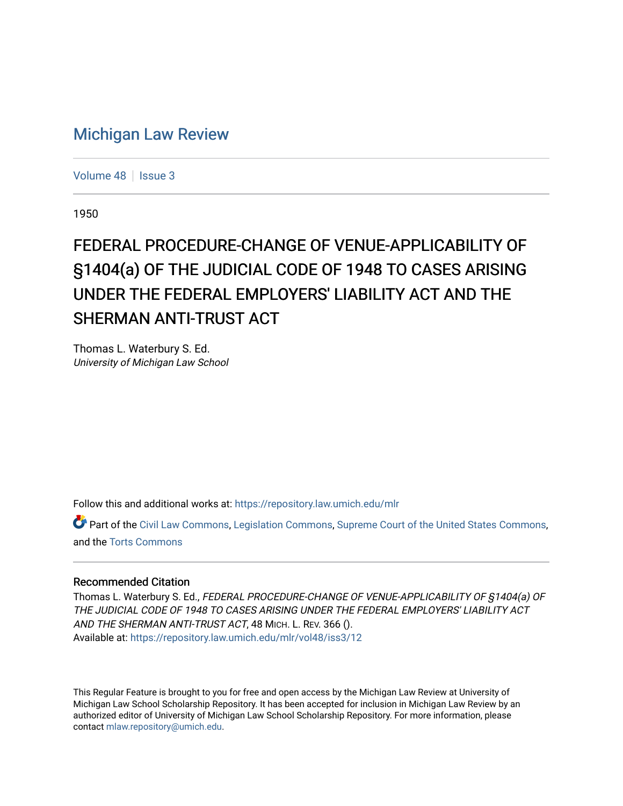## [Michigan Law Review](https://repository.law.umich.edu/mlr)

[Volume 48](https://repository.law.umich.edu/mlr/vol48) | [Issue 3](https://repository.law.umich.edu/mlr/vol48/iss3)

1950

# FEDERAL PROCEDURE-CHANGE OF VENUE-APPLICABILITY OF §1404(a) OF THE JUDICIAL CODE OF 1948 TO CASES ARISING UNDER THE FEDERAL EMPLOYERS' LIABILITY ACT AND THE SHERMAN ANTI-TRUST ACT

Thomas L. Waterbury S. Ed. University of Michigan Law School

Follow this and additional works at: [https://repository.law.umich.edu/mlr](https://repository.law.umich.edu/mlr?utm_source=repository.law.umich.edu%2Fmlr%2Fvol48%2Fiss3%2F12&utm_medium=PDF&utm_campaign=PDFCoverPages) 

Part of the [Civil Law Commons](http://network.bepress.com/hgg/discipline/835?utm_source=repository.law.umich.edu%2Fmlr%2Fvol48%2Fiss3%2F12&utm_medium=PDF&utm_campaign=PDFCoverPages), [Legislation Commons,](http://network.bepress.com/hgg/discipline/859?utm_source=repository.law.umich.edu%2Fmlr%2Fvol48%2Fiss3%2F12&utm_medium=PDF&utm_campaign=PDFCoverPages) [Supreme Court of the United States Commons,](http://network.bepress.com/hgg/discipline/1350?utm_source=repository.law.umich.edu%2Fmlr%2Fvol48%2Fiss3%2F12&utm_medium=PDF&utm_campaign=PDFCoverPages) and the [Torts Commons](http://network.bepress.com/hgg/discipline/913?utm_source=repository.law.umich.edu%2Fmlr%2Fvol48%2Fiss3%2F12&utm_medium=PDF&utm_campaign=PDFCoverPages)

### Recommended Citation

Thomas L. Waterbury S. Ed., FEDERAL PROCEDURE-CHANGE OF VENUE-APPLICABILITY OF §1404(a) OF THE JUDICIAL CODE OF 1948 TO CASES ARISING UNDER THE FEDERAL EMPLOYERS' LIABILITY ACT AND THE SHERMAN ANTI-TRUST ACT, 48 MICH. L. REV. 366 (). Available at: [https://repository.law.umich.edu/mlr/vol48/iss3/12](https://repository.law.umich.edu/mlr/vol48/iss3/12?utm_source=repository.law.umich.edu%2Fmlr%2Fvol48%2Fiss3%2F12&utm_medium=PDF&utm_campaign=PDFCoverPages) 

This Regular Feature is brought to you for free and open access by the Michigan Law Review at University of Michigan Law School Scholarship Repository. It has been accepted for inclusion in Michigan Law Review by an authorized editor of University of Michigan Law School Scholarship Repository. For more information, please contact [mlaw.repository@umich.edu](mailto:mlaw.repository@umich.edu).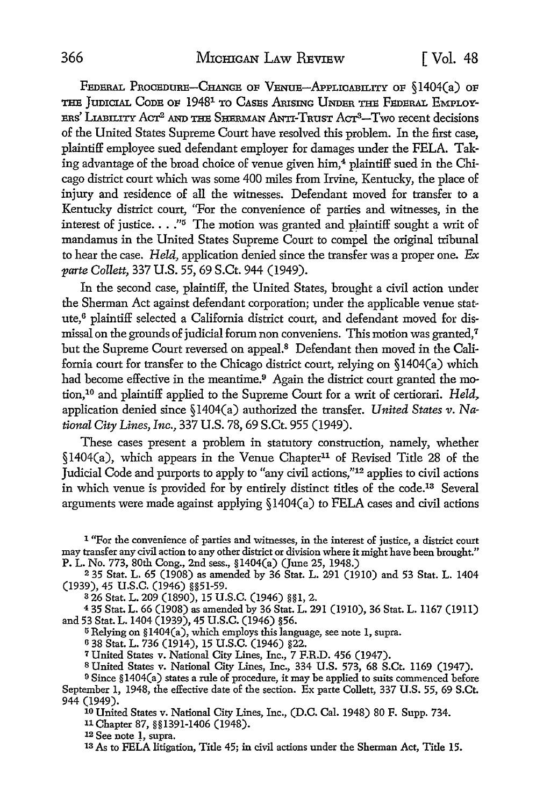FEDERAL PROCEDURE-CHANGE OF VENUE-APPLICABILITY OF §1404(a) OF THE JUDICIAL CODE OF 1948<sup>1</sup> TO CASES ARISING UNDER THE FEDERAL EMPLOY-ERS' LIABILITY ACT<sup>2</sup> AND THE SHERMAN ANTI-TRUST ACT<sup>3</sup>-Two recent decisions of the United States Supreme Court have resolved this problem. In the first case, plaintiff employee sued defendant employer for damages under the FELA. Taking advantage of the broad choice of venue given him,4 plaintiff sued in the Chicago district court which was some 400 miles from Irvine, Kentucky, the place of injury and residence of all the witnesses. Defendant moved for transfer to a Kentucky district court, ''For the convenience of parties and witnesses, in the interest of justice. . . . "<sup>5</sup> The motion was granted and plaintiff sought a writ of mandamus in the United States Supreme Court to compel the original tribunal to hear the case. *Held,* application denied since the transfer was a proper one. *Ex parte Collett,* 337 U.S. 55, 69 S.Ct. 944 (1949).

In the second case, plaintiff, the United States, brought a civil action under the Sherman Act against defendant corporation; under the applicable venue statute,<sup>6</sup> plaintiff selected a California district court, and defendant moved for dismissal on the grounds of judicial forum non conveniens. This motion was granted, <sup>7</sup> but the Supreme Court reversed on appeal.8 Defendant then moved in the California court for transfer to the Chicago district court, relying on §1404(a) which had become effective in the meantime.<sup>9</sup> Again the district court granted the motion,<sup>10</sup> and plaintiff applied to the Supreme Court for a writ of certiorari. *Held*, application denied since §1404(a) authorized the transfer. *United States v. National City Lines, Inc.,* 337 U.S. 78, 69 S.Ct. 955 (1949).

These cases present a problem in statutory construction, namely, whether §1404(a), which appears in the Venue Chapter<sup>11</sup> of Revised Title 28 of the Judicial Code and purports to apply to "any civil actions,"12 applies to civil actions in which venue is provided for by entirely distinct titles of the code.13 Several arguments were made against applying §1404(a) to FELA cases and civil actions

<sup>1</sup> "For the convenience of parties and witnesses, in the interest of justice, a district court may transfer any civil action to any other district or division where it might have been brought." P. L. No. 773, 80th Cong., 2nd sess., §l404(a) (June 25, 1948.)

<sup>2</sup>35 Stat. L. 65 (1908) as amended by 36 Stat. L. 291 (1910) and 53 Stat. L. 1404 (1939), 45 u.s.c. (1946) §§51-59.

3 26 Stat. L. 209 (1890), 15 U.S.C. (1946) §§1, 2.

<sup>4</sup>35 Stat. L. 66 (1908) as amended by 36 Stat. L. 291 (1910), 36 Stat. L. 1167 (1911) and 53 Stat. L. 1404 (1939), 45 U.S.C. (1946) §56.

5 Relying on §l404(a), which employs this language, see note 1, supra.

o 38 Stat. L. 736 (1914), 15 U.S.C. (1946) §22.

7 United States v. National City Lines, Inc., 7 F.R.D. 456 (1947).

s United States v. National City Lines, Inc., 334 U.S. 573, 68 S.Ct. 1169 (1947).

<sup>9</sup>Since §l404(a) states a rule of procedure, it may be applied to suits commenced before September 1, 1948, the effective date of the section. Ex parte Collett, 337 U.S. 55, 69 S.Ct. 944 (1949).

10 United States v. National City Lines, Inc., (D.C. Cal. 1948) 80 F. Supp. 734.

llChapter 87, §§1391-1406 (1948).

12 See note !, supra.

13 *As* to FELA litigation, Title 45; in civil actions under the Sherman Act, Title 15.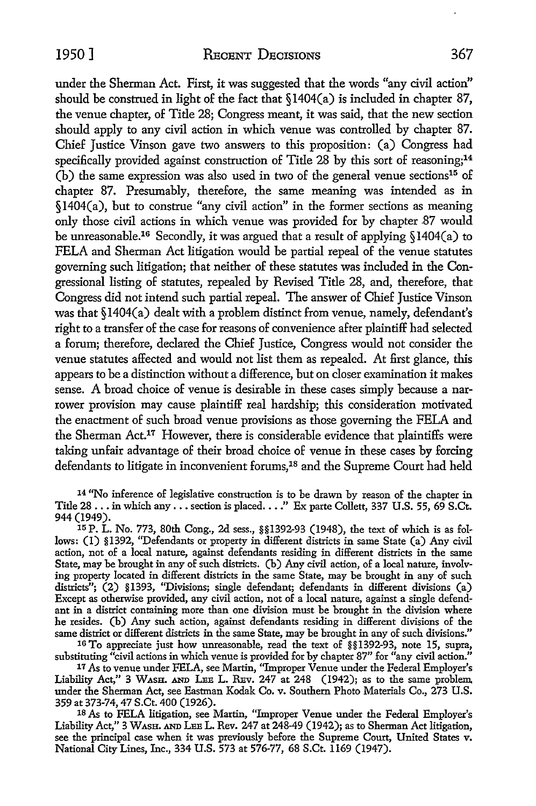under the Sherman Act. First, it was suggested that the words "any civil action" should be construed in light of the fact that §1404(a) is included in chapter 87, the venue chapter, of Title 28; Congress meant, it was said, that the new section should apply to any civil action in which venue was controlled by chapter 87. Chief Justice Vinson gave two answers to this proposition: (a) Congress had specifically provided against construction of Title 28 by this sort of reasoning;<sup>14</sup>  $(b)$  the same expression was also used in two of the general venue sections<sup>15</sup> of chapter 87. Presumably, therefore, the same meaning was intended as in §1404(a), but to construe "any civil action" in the former sections as meaning only those civil actions in which venue was provided for by chapter 87 would be unreasonable.<sup>16</sup> Secondly, it was argued that a result of applying §1404(a) to FELA and Sherman Act litigation would be partial repeal of the venue statutes governing such litigation; that neither of these statutes was included in the Congressional listing of statutes, repealed by Revised Title 28, and, therefore, that Congress did not intend such partial repeal. The answer of Chief Justice Vinson was that §1404(a) dealt with a problem distinct from venue, namely, defendant's right to a transfer of the case for reasons of convenience after plaintiff had selected a forum; therefore, declared the Chief Justice, Congress would not consider the venue statutes affected and would not list them as repealed. At first glance, this appears to be a distinction without a difference, but on closer examination it makes sense. A broad choice of venue is desirable in these cases simply because a narrower provision may cause plaintiff real hardship; this consideration motivated the enactment of such broad venue provisions as those governing the FELA and the Sherman Act.17 However, there is considerable evidence that plaintiffs were taking unfair advantage of their broad choice of venue in these cases by forcing defendants to litigate in inconvenient forums,18 and the Supreme Court had held

15 P. L. No. 773, 80th Cong., 2d sess., §§1392-93 (1948), the text of which is as follows: (1) §1392, "Defendants or property in different districts in same State (a) Any civil action, not of a local nature, against defendants residing in different districts in the same State, may be brought in any of such districts. (b) Any civil action, of a local nature, involving property located in different districts in the same State, may be brought in any of such districts"; (2) §1393, "Divisions; single defendant; defendants in different divisions (a) Except as otherwise provided, any civil action, not of a local nature, against a single defendant in a district containing more than one division must be brought in the division where he resides. (b) Any such action, against defendants residing in different divisions of the same district or different districts in the same State, may be brought in any of such divisions."

16To appreciate just how unreasonable, read the text of §§1392-93, note 15, supra, substituting "civil actions in which venue is provided for by chapter 87" for "any civil action."

17 As to venue under FELA, see Martin, ''Improper Venue under the Federal Employer's Liability Act," 3 WASH. AND LEE L. REv. 247 at 248 (1942); as to the same problem. under the Sherman Act, see Eastman Kodak Co. v. Southern Photo Materials Co., 273 U.S. 359 at 373-74, 47 S.Ct. 400 (1926).

18 As to FELA litigation, see Martin, "Improper Venue under the Federal Employer's Liability Act," 3 WASH. AND LEE L. Rev. 247 at 248-49 (1942); as to Sherman Act litigation, see the principal case when it was previously before the Supreme Court, United States v. National City Lines, Inc., 334 U.S. 573 at 576-77, 68 S.Ct. 1169 (1947).

<sup>14</sup>"No inference of legislative construction is to be drawn by reason of the chapter in Title 28 . . . in which any . . . section is placed. . . . " Ex parte Collett, 337 U.S. 55, 69 S.Ct. 944 (1949).